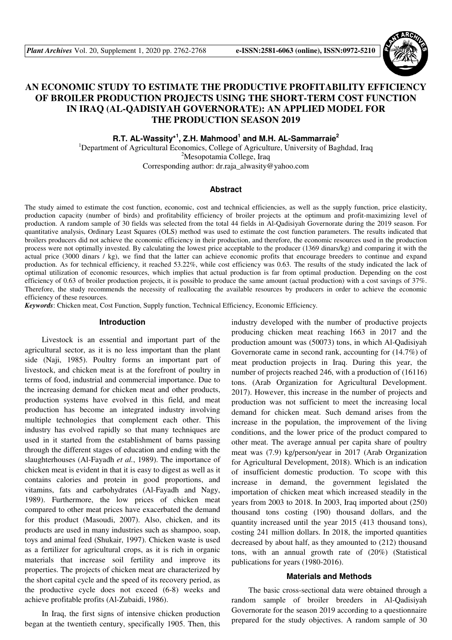

# **AN ECONOMIC STUDY TO ESTIMATE THE PRODUCTIVE PROFITABILITY EFFICIENCY OF BROILER PRODUCTION PROJECTS USING THE SHORT-TERM COST FUNCTION IN IRAQ (AL-QADISIYAH GOVERNORATE): AN APPLIED MODEL FOR THE PRODUCTION SEASON 2019**

**R.T. AL-Wassity\*<sup>1</sup> , Z.H. Mahmood<sup>1</sup> and M.H. AL-Sammarraie<sup>2</sup>**

<sup>1</sup>Department of Agricultural Economics, College of Agriculture, University of Baghdad, Iraq <sup>2</sup>Mesopotamia College, Iraq Corresponding author: dr.raja\_alwasity@yahoo.com

#### **Abstract**

The study aimed to estimate the cost function, economic, cost and technical efficiencies, as well as the supply function, price elasticity, production capacity (number of birds) and profitability efficiency of broiler projects at the optimum and profit-maximizing level of production. A random sample of 30 fields was selected from the total 44 fields in Al-Qadisiyah Governorate during the 2019 season. For quantitative analysis, Ordinary Least Squares (OLS) method was used to estimate the cost function parameters. The results indicated that broilers producers did not achieve the economic efficiency in their production, and therefore, the economic resources used in the production process were not optimally invested. By calculating the lowest price acceptable to the producer (1369 dinars/kg) and comparing it with the actual price (3000 dinars / kg), we find that the latter can achieve economic profits that encourage breeders to continue and expand production. As for technical efficiency, it reached 53.22%, while cost efficiency was 0.63. The results of the study indicated the lack of optimal utilization of economic resources, which implies that actual production is far from optimal production. Depending on the cost efficiency of 0.63 of broiler production projects, it is possible to produce the same amount (actual production) with a cost savings of 37%. Therefore, the study recommends the necessity of reallocating the available resources by producers in order to achieve the economic efficiency of these resources.

*Keywords*: Chicken meat, Cost Function, Supply function, Technical Efficiency, Economic Efficiency.

## **Introduction**

Livestock is an essential and important part of the agricultural sector, as it is no less important than the plant side (Naji, 1985). Poultry forms an important part of livestock, and chicken meat is at the forefront of poultry in terms of food, industrial and commercial importance. Due to the increasing demand for chicken meat and other products, production systems have evolved in this field, and meat production has become an integrated industry involving multiple technologies that complement each other. This industry has evolved rapidly so that many techniques are used in it started from the establishment of barns passing through the different stages of education and ending with the slaughterhouses (Al-Fayadh *et al.*, 1989). The importance of chicken meat is evident in that it is easy to digest as well as it contains calories and protein in good proportions, and vitamins, fats and carbohydrates (Al-Fayadh and Nagy, 1989). Furthermore, the low prices of chicken meat compared to other meat prices have exacerbated the demand for this product (Masoudi, 2007). Also, chicken, and its products are used in many industries such as shampoo, soap, toys and animal feed (Shukair, 1997). Chicken waste is used as a fertilizer for agricultural crops, as it is rich in organic materials that increase soil fertility and improve its properties. The projects of chicken meat are characterized by the short capital cycle and the speed of its recovery period, as the productive cycle does not exceed (6-8) weeks and achieve profitable profits (Al-Zubaidi, 1986).

In Iraq, the first signs of intensive chicken production began at the twentieth century, specifically 1905. Then, this industry developed with the number of productive projects producing chicken meat reaching 1663 in 2017 and the production amount was (50073) tons, in which Al-Qadisiyah Governorate came in second rank, accounting for (14.7%) of meat production projects in Iraq. During this year, the number of projects reached 246, with a production of (16116) tons. (Arab Organization for Agricultural Development. 2017). However, this increase in the number of projects and production was not sufficient to meet the increasing local demand for chicken meat. Such demand arises from the increase in the population, the improvement of the living conditions, and the lower price of the product compared to other meat. The average annual per capita share of poultry meat was (7.9) kg/person/year in 2017 (Arab Organization for Agricultural Development, 2018). Which is an indication of insufficient domestic production. To scope with this increase in demand, the government legislated the importation of chicken meat which increased steadily in the years from 2003 to 2018. In 2003, Iraq imported about (250) thousand tons costing (190) thousand dollars, and the quantity increased until the year 2015 (413 thousand tons), costing 241 million dollars. In 2018, the imported quantities decreased by about half, as they amounted to (212) thousand tons, with an annual growth rate of (20%) (Statistical publications for years (1980-2016).

#### **Materials and Methods**

The basic cross-sectional data were obtained through a random sample of broiler breeders in Al-Qadisiyah Governorate for the season 2019 according to a questionnaire prepared for the study objectives. A random sample of 30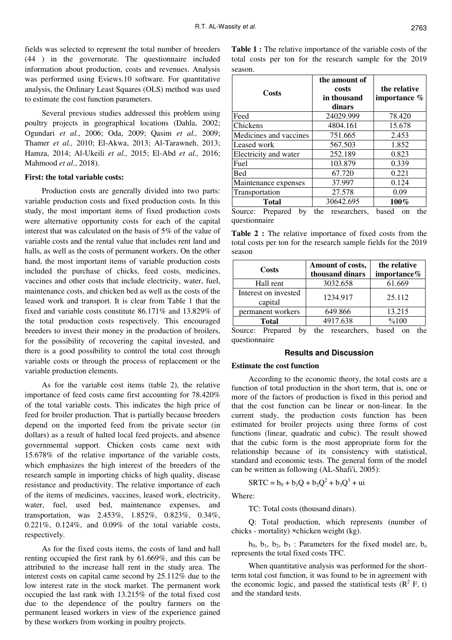fields was selected to represent the total number of breeders (44 ) in the governorate. The questionnaire included information about production, costs and revenues. Analysis was performed using Eviews.10 software. For quantitative analysis, the Ordinary Least Squares (OLS) method was used to estimate the cost function parameters.

Several previous studies addressed this problem using poultry projects in geographical locations (Dahla, 2002; Ogundari *et al.*, 2006; Oda, 2009; Qasim *et al.,* 2009; Thamer *et al.,* 2010; El-Akwa, 2013; Al-Tarawneh, 2013; Hamza, 2014; Al-Ukeili *et al.,* 2015; El-Abd *et al.,* 2016; Mahmood *et al*., 2018).

#### **First: the total variable costs:**

Production costs are generally divided into two parts: variable production costs and fixed production costs. In this study, the most important items of fixed production costs were alternative opportunity costs for each of the capital interest that was calculated on the basis of 5% of the value of variable costs and the rental value that includes rent land and halls, as well as the costs of permanent workers. On the other hand, the most important items of variable production costs included the purchase of chicks, feed costs, medicines, vaccines and other costs that include electricity, water, fuel, maintenance costs, and chicken bed as well as the costs of the leased work and transport. It is clear from Table 1 that the fixed and variable costs constitute 86.171% and 13.829% of the total production costs respectively. This encouraged breeders to invest their money in the production of broilers, for the possibility of recovering the capital invested, and there is a good possibility to control the total cost through variable costs or through the process of replacement or the variable production elements.

As for the variable cost items (table 2), the relative importance of feed costs came first accounting for 78.420% of the total variable costs. This indicates the high price of feed for broiler production. That is partially because breeders depend on the imported feed from the private sector (in dollars) as a result of halted local feed projects, and absence governmental support. Chicken costs came next with 15.678% of the relative importance of the variable costs, which emphasizes the high interest of the breeders of the research sample in importing chicks of high quality, disease resistance and productivity. The relative importance of each of the items of medicines, vaccines, leased work, electricity, water, fuel, used bed, maintenance expenses, and transportation, was 2.453%, 1.852%, 0.823%, 0.34%, 0.221%, 0.124%, and 0.09% of the total variable costs, respectively.

As for the fixed costs items, the costs of land and hall renting occupied the first rank by 61.669%, and this can be attributed to the increase hall rent in the study area. The interest costs on capital came second by 25.112% due to the low interest rate in the stock market. The permanent work occupied the last rank with 13.215% of the total fixed cost due to the dependence of the poultry farmers on the permanent leased workers in view of the experience gained by these workers from working in poultry projects.

**Table 1 :** The relative importance of the variable costs of the total costs per ton for the research sample for the 2019 season.

| Costs                     | the amount of<br>costs<br>in thousand<br>dinars | the relative<br>importance %  |  |
|---------------------------|-------------------------------------------------|-------------------------------|--|
| Feed                      | 24029.999                                       | 78.420                        |  |
| Chickens                  | 4804.161                                        | 15.678                        |  |
| Medicines and vaccines    | 751.665                                         | 2.453                         |  |
| Leased work               | 567.503                                         | 1.852                         |  |
| Electricity and water     | 252.189                                         | 0.823                         |  |
| Fuel                      | 103.879                                         | 0.339                         |  |
| Bed                       | 67.720                                          | 0.221                         |  |
| Maintenance expenses      | 37.997                                          | 0.124                         |  |
| Transportation            | 27.578                                          | 0.09                          |  |
| <b>Total</b>              | 30642.695                                       | $100\%$                       |  |
| Prepared<br>Source:<br>by | researchers.<br>the                             | based<br>the<br><sub>on</sub> |  |

questionnaire

**Table 2 :** The relative importance of fixed costs from the total costs per ton for the research sample fields for the 2019 season

| Costs                           | Amount of costs,<br>thousand dinars | the relative<br>importance% |  |
|---------------------------------|-------------------------------------|-----------------------------|--|
| Hall rent                       | 3032.658                            | 61.669                      |  |
| Interest on invested<br>capital | 1234.917                            | 25.112                      |  |
| permanent workers               | 649.866                             | 13.215                      |  |
| <b>Total</b>                    | 4917.638                            | %100                        |  |

Source: Prepared by the researchers, based on the questionnaire

# **Results and Discussion**

#### **Estimate the cost function**

According to the economic theory, the total costs are a function of total production in the short term, that is, one or more of the factors of production is fixed in this period and that the cost function can be linear or non-linear. In the current study, the production costs function has been estimated for broiler projects using three forms of cost functions (linear, quadratic and cubic). The result showed that the cubic form is the most appropriate form for the relationship because of its consistency with statistical, standard and economic tests. The general form of the model can be written as following (AL-Shafi'i, 2005):

$$
SRTC = b_0 + b_1Q + b_2Q^2 + b_3Q^3 + \text{ui}
$$

Where:

TC: Total costs (thousand dinars).

Q: Total production, which represents (number of chicks - mortality) ×chicken weight (kg).

 $b_0$ ,  $b_1$ ,  $b_2$ ,  $b_3$ : Parameters for the fixed model are,  $b_0$ represents the total fixed costs TFC.

When quantitative analysis was performed for the shortterm total cost function, it was found to be in agreement with the economic logic, and passed the statistical tests  $(R^2 F, t)$ and the standard tests.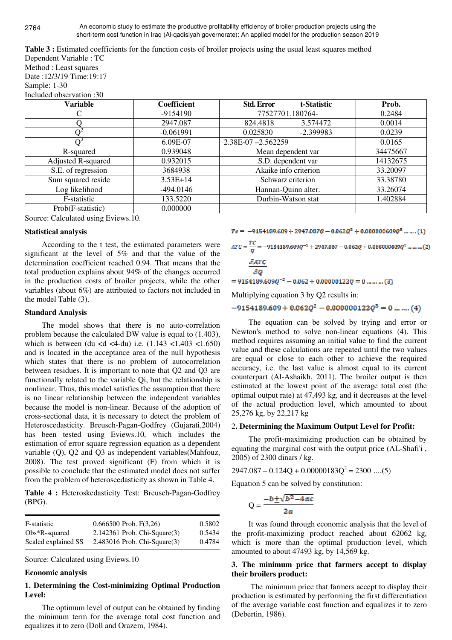An economic study to estimate the productive profitability efficiency of broiler production projects using the short-term cost function in Iraq (Al-qadisiyah governorate): An applied model for the production season 2019

**Table 3 :** Estimated coefficients for the function costs of broiler projects using the usual least squares method Dependent Variable : TC

Method : Least squares Date :12/3/19 Time:19:17 Sample: 1-30

Included observation :30

| Variable           | Coefficient | t-Statistic<br><b>Std. Error</b> | Prob.    |
|--------------------|-------------|----------------------------------|----------|
|                    | $-9154190$  | 77527701.180764-                 | 0.2484   |
|                    | 2947.087    | 3.574472<br>824.4818             | 0.0014   |
|                    | $-0.061991$ | 0.025830<br>$-2.399983$          | 0.0239   |
|                    | 6.09E-07    | 2.38E-07-2.562259                | 0.0165   |
| R-squared          | 0.939048    | Mean dependent var               | 34475667 |
| Adjusted R-squared | 0.932015    | S.D. dependent var               | 14132675 |
| S.E. of regression | 3684938     | Akaike info criterion            | 33.20097 |
| Sum squared reside | $3.53E+14$  | Schwarz criterion                | 33.38780 |
| Log likelihood     | -494.0146   | Hannan-Quinn alter.              | 33.26074 |
| F-statistic        | 133.5220    | Durbin-Watson stat               | 1.402884 |
| Prob(F-statistic)  | 0.000000    |                                  |          |

Source: Calculated using Eviews.10.

### **Statistical analysis**

According to the t test, the estimated parameters were significant at the level of 5% and that the value of the determination coefficient reached 0.94. That means that the total production explains about 94% of the changes occurred in the production costs of broiler projects, while the other variables (about 6%) are attributed to factors not included in the model Table (3).

### **Standard Analysis**

The model shows that there is no auto-correlation problem because the calculated DW value is equal to (1.403), which is between (du <d <4-du) i.e.  $(1.143 \, \text{1.403} \, \text{1.650})$ and is located in the acceptance area of the null hypothesis which states that there is no problem of autocorrelation between residues. It is important to note that Q2 and Q3 are functionally related to the variable Qi, but the relationship is nonlinear. Thus, this model satisfies the assumption that there is no linear relationship between the independent variables because the model is non-linear. Because of the adoption of cross-sectional data, it is necessary to detect the problem of Heteroscedasticity. Breusch-Pagan-Godfrey (Gujarati,2004) has been tested using Eviews.10, which includes the estimation of error square regression equation as a dependent variable (Q), Q2 and Q3 as independent variables(Mahfouz, 2008). The test proved significant (F) from which it is possible to conclude that the estimated model does not suffer from the problem of heteroscedasticity as shown in Table 4.

**Table 4 :** Heteroskedasticity Test: Breusch-Pagan-Godfrey (BPG).

| F-statistic         | $0.666500$ Prob. F(3,26)          | 0.5802 |
|---------------------|-----------------------------------|--------|
| $Obs*R$ -squared    | $2.142361$ Prob. Chi-Square $(3)$ | 0.5434 |
| Scaled explained SS | $2.483016$ Prob. Chi-Square $(3)$ | 0.4784 |

Source: Calculated using Eviews.10

#### **Economic analysis**

# **1. Determining the Cost-minimizing Optimal Production Level:**

The optimum level of output can be obtained by finding the minimum term for the average total cost function and equalizes it to zero (Doll and Orazem, 1984).

 $Tc = -9154189.609 + 2947.087Q - 0.062Q^2 + 0.000000609Q^8$  ... ... (1)

$$
ATC = \frac{TC}{Q} = -9154189.609Q^{-1} + 2947.087 - 0.062Q + 0.000000609Q^{2} \dots \dots \dots (2)
$$

$$
\frac{\partial \text{ATC}}{\partial \text{Q}}
$$

 $= 9154189.609Q^{-2} - 0.062 + 0.00000122Q = 0$  ... ... ... (3)

Multiplying equation 3 by Q2 results in:

 $-9154189.609 + 0.062Q^2 - 0.000000122Q^3 = 0$  ... ... . (4)

The equation can be solved by trying and error or Newton's method to solve non-linear equations (4). This method requires assuming an initial value to find the current value and these calculations are repeated until the two values are equal or close to each other to achieve the required accuracy, i.e. the last value is almost equal to its current counterpart (Al-Ashaikh, 2011). The broiler output is then estimated at the lowest point of the average total cost (the optimal output rate) at 47,493 kg, and it decreases at the level of the actual production level, which amounted to about 25,276 kg, by 22,217 kg

# 2**. Determining the Maximum Output Level for Profit:**

The profit-maximizing production can be obtained by equating the marginal cost with the output price (AL-Shafi'i , 2005) of 2300 dinars / kg.

 $2947.087 - 0.124Q + 0.00000183Q^2 = 2300$  ....(5)

Equation 5 can be solved by constitution:

$$
Q = \frac{-b \pm \sqrt{b^2 - 4ac}}{2a}
$$

It was found through economic analysis that the level of the profit-maximizing product reached about 62062 kg, which is more than the optimal production level, which amounted to about 47493 kg, by 14,569 kg.

# **3. The minimum price that farmers accept to display their broilers product:**

 The minimum price that farmers accept to display their production is estimated by performing the first differentiation of the average variable cost function and equalizes it to zero (Debertin, 1986).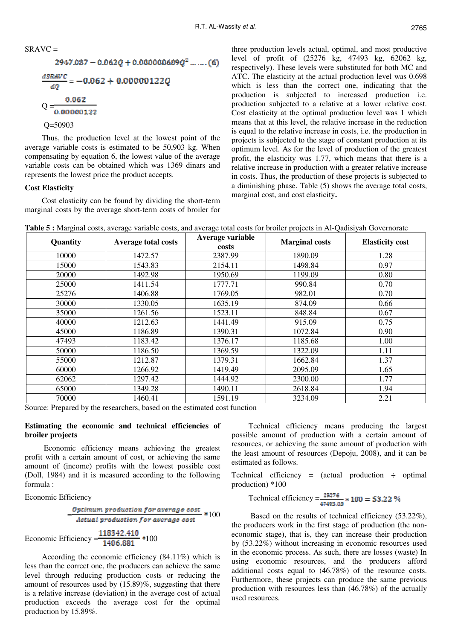$$
SRAVC =
$$
  
\n
$$
2947.087 - 0.062Q + 0.000000609Q^{2} \dots \dots (6)
$$
  
\n
$$
\frac{dSRAVC}{dQ} = -0.062 + 0.00000122Q
$$
  
\n
$$
Q = \frac{0.062}{0.00000122}
$$
  
\n
$$
Q = 50903
$$

Thus, the production level at the lowest point of the average variable costs is estimated to be 50,903 kg. When compensating by equation 6, the lowest value of the average variable costs can be obtained which was 1369 dinars and represents the lowest price the product accepts.

# **Cost Elasticity**

Cost elasticity can be found by dividing the short-term marginal costs by the average short-term costs of broiler for three production levels actual, optimal, and most productive level of profit of (25276 kg, 47493 kg, 62062 kg, respectively). These levels were substituted for both MC and ATC. The elasticity at the actual production level was 0.698 which is less than the correct one, indicating that the production is subjected to increased production i.e. production subjected to a relative at a lower relative cost. Cost elasticity at the optimal production level was 1 which means that at this level, the relative increase in the reduction is equal to the relative increase in costs, i.e. the production in projects is subjected to the stage of constant production at its optimum level. As for the level of production of the greatest profit, the elasticity was 1.77, which means that there is a relative increase in production with a greater relative increase in costs. Thus, the production of these projects is subjected to a diminishing phase. Table (5) shows the average total costs, marginal cost, and cost elasticity.

|  |  | Table 5 : Marginal costs, average variable costs, and average total costs for broiler projects in Al-Qadisiyah Governorate |  |  |
|--|--|----------------------------------------------------------------------------------------------------------------------------|--|--|
|--|--|----------------------------------------------------------------------------------------------------------------------------|--|--|

| Quantity | <b>Average total costs</b> | Average variable<br>costs | <b>Marginal costs</b> | <b>Elasticity cost</b> |
|----------|----------------------------|---------------------------|-----------------------|------------------------|
| 10000    | 1472.57                    | 2387.99                   | 1890.09               | 1.28                   |
| 15000    | 1543.83                    | 2154.11                   | 1498.84               | 0.97                   |
| 20000    | 1492.98                    | 1950.69                   | 1199.09               | 0.80                   |
| 25000    | 1411.54                    | 1777.71                   | 990.84                | 0.70                   |
| 25276    | 1406.88                    | 1769.05                   | 982.01                | 0.70                   |
| 30000    | 1330.05                    | 1635.19                   | 874.09                | 0.66                   |
| 35000    | 1261.56                    | 1523.11                   | 848.84                | 0.67                   |
| 40000    | 1212.63                    | 1441.49                   | 915.09                | 0.75                   |
| 45000    | 1186.89                    | 1390.31                   | 1072.84               | 0.90                   |
| 47493    | 1183.42                    | 1376.17                   | 1185.68               | 1.00                   |
| 50000    | 1186.50                    | 1369.59                   | 1322.09               | 1.11                   |
| 55000    | 1212.87                    | 1379.31                   | 1662.84               | 1.37                   |
| 60000    | 1266.92                    | 1419.49                   | 2095.09               | 1.65                   |
| 62062    | 1297.42                    | 1444.92                   | 2300.00               | 1.77                   |
| 65000    | 1349.28                    | 1490.11                   | 2618.84               | 1.94                   |
| 70000    | 1460.41                    | 1591.19                   | 3234.09               | 2.21                   |

Source: Prepared by the researchers, based on the estimated cost function

### **Estimating the economic and technical efficiencies of broiler projects**

 Economic efficiency means achieving the greatest profit with a certain amount of cost, or achieving the same amount of (income) profits with the lowest possible cost (Doll, 1984) and it is measured according to the following formula :

Economic Efficiency

$$
-\frac{Optimum\ production\ for\ average\ cost}{Actual\ production\ for\ average\ cost}
$$

Economic Efficiency  $=\frac{118342.410}{1406.881}$  \*100

According the economic efficiency (84.11%) which is less than the correct one, the producers can achieve the same level through reducing production costs or reducing the amount of resources used by (15.89)%, suggesting that there is a relative increase (deviation) in the average cost of actual production exceeds the average cost for the optimal production by 15.89%.

Technical efficiency means producing the largest possible amount of production with a certain amount of resources, or achieving the same amount of production with the least amount of resources (Depoju, 2008), and it can be estimated as follows.

Technical efficiency = (actual production  $\div$  optimal production) \*100

Technical efficiency = 
$$
\frac{25276}{47493.08} \times 100 = 53.22\%
$$

 Based on the results of technical efficiency (53.22%), the producers work in the first stage of production (the noneconomic stage), that is, they can increase their production by (53.22%) without increasing in economic resources used in the economic process. As such, there are losses (waste) In using economic resources, and the producers afford additional costs equal to (46.78%) of the resource costs. Furthermore, these projects can produce the same previous production with resources less than (46.78%) of the actually used resources.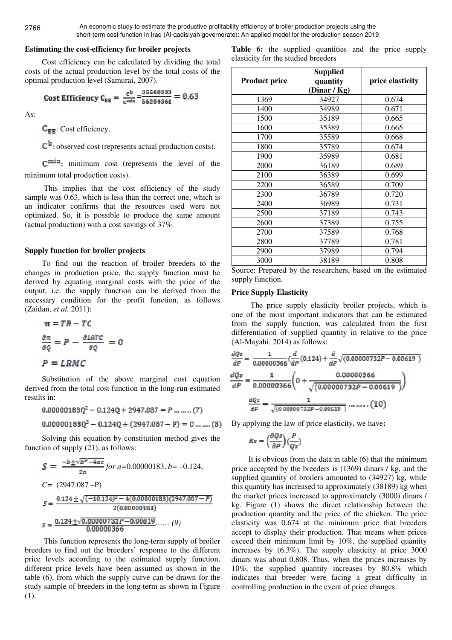## **Estimating the cost-efficiency for broiler projects**

Cost efficiency can be calculated by dividing the total costs of the actual production level by the total costs of the optimal production level (Samurai, 2007).

Cost Efficiency 
$$
C_{EE} = \frac{c^b}{c^{min}} = \frac{35560333}{56204361} = 0.63
$$

As:

 $C_{\mathbb{R}}$ : Cost efficiency.

 $\mathbb{C}^{\mathsf{b}}$ : observed cost (represents actual production costs).

**C**<sup>min</sup>: minimum cost (represents the level of the minimum total production costs).

 This implies that the cost efficiency of the study sample was 0.63, which is less than the correct one, which is an indicator confirms that the resources used were not optimized. So, it is possible to produce the same amount (actual production) with a cost savings of 37%.

#### **Supply function for broiler projects**

To find out the reaction of broiler breeders to the changes in production price, the supply function must be derived by equating marginal costs with the price of the output, i.e. the supply function can be derived from the necessary condition for the profit function, as follows (Zaidan, *et al.* 2011):

$$
\pi = TR - TC
$$

$$
\frac{\partial \pi}{\partial Q} = P - \frac{\partial LRTC}{\partial Q} = 0
$$

$$
P = LRMC
$$

Substitution of the above marginal cost equation derived from the total cost function in the long-run estimated results in:

$$
0.00000183Q^2 - 0.124Q + 2947.087 = P \dots (7)
$$

$$
0.00000183Q^2 - 0.124Q + (2947.087 - P) = 0 \dots \dots (8)
$$

Solving this equation by constitution method gives the function of supply (21), as follows:

$$
S = \frac{-b \pm \sqrt{b^2 - 4ac}}{2a} \text{ for } a = 0.00000183, b = -0.124,
$$
  
\nC = (2947.087 - P)  
\n
$$
S = \frac{0.124 \pm \sqrt{(-10.124)^2 - 4(0.00000183)(2947.087 - P)}}{2(0.00000183)}
$$
  
\n
$$
S = \frac{0.124 \pm \sqrt{0.00000732P - 0.00619}}{0.00000366} \dots \dots \quad (9)
$$

 This function represents the long-term supply of broiler breeders to find out the breeders' response to the different price levels according to the estimated supply function, different price levels have been assumed as shown in the table (6), from which the supply curve can be drawn for the study sample of breeders in the long term as shown in Figure (1).

Table 6: the supplied quantities and the price supply elasticity for the studied breeders

|                      | <b>Supplied</b>          |                  |
|----------------------|--------------------------|------------------|
| <b>Product price</b> | quantity<br>(Dinar / Kg) | price elasticity |
| 1369                 | 34927                    | 0.674            |
| 1400                 | 34989                    | 0.671            |
| 1500                 | 35189                    | 0.665            |
| 1600                 | 35389                    | 0.665            |
| 1700                 | 35589                    | 0.668            |
| 1800                 | 35789                    | 0.674            |
| 1900                 | 35989                    | 0.681            |
| 2000                 | 36189                    | 0.689            |
| 2100                 | 36389                    | 0.699            |
| 2200                 | 36589                    | 0.709            |
| 2300                 | 36789                    | 0.720            |
| 2400                 | 36989                    | 0.731            |
| 2500                 | 37189                    | 0.743            |
| 2600                 | 37389                    | 0.755            |
| 2700                 | 37589                    | 0.768            |
| 2800                 | 37789                    | 0.781            |
| 2900                 | 37989                    | 0.794            |
| 3000                 | 38189                    | 0.808            |

Source: Prepared by the researchers, based on the estimated supply function.

#### **Price Supply Elasticity**

 The price supply elasticity broiler projects, which is one of the most important indicators that can be estimated from the supply function, was calculated from the first differentiation of supplied quantity in relative to the price (Al-Mayahi, 2014) as follows:

$$
\frac{dQs}{dP} = \frac{1}{0.00000366} \left( \frac{d}{dP} (0.124) + \frac{d}{dP} \sqrt{(0.00000732P - 0.00619)} \right)
$$

$$
\frac{dQs}{dP} = \frac{1}{0.00000366} \left( 0 + \frac{0.00000366}{\sqrt{(0.00000732P - 0.00619)}} \right)
$$

$$
\frac{dQs}{dP} = \frac{1}{\sqrt{(0.00000732P - 0.00619)}} \dots \dots (10)
$$

By applying the law of price elasticity, we have:

$$
Es = \left(\frac{\partial Qs}{\partial P}\right)\left(\frac{P}{Qs}\right)
$$

It is obvious from the data in table (6) that the minimum price accepted by the breeders is (1369) dinars / kg, and the supplied quantity of broilers amounted to (34927) kg, while this quantity has increased to approximately (38189) kg when the market prices increased to approximately (3000) dinars / kg. Figure (1) shows the direct relationship between the production quantity and the price of the chicken. The price elasticity was 0.674 at the minimum price that breeders accept to display their production. That means when prices exceed their minimum limit by 10%, the supplied quantity increases by (6.3%). The supply elasticity at price 3000 dinars was about 0.808. Thus, when the prices increases by 10%, the supplied quantity increases by 80.8% which indicates that breeder were facing a great difficulty in controlling production in the event of price changes.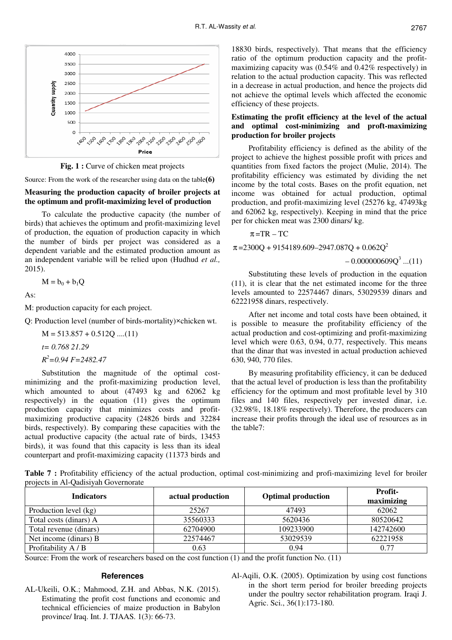

**Fig. 1 :** Curve of chicken meat projects

Source: From the work of the researcher using data on the table  $(6)$ 

## **Measuring the production capacity of broiler projects at the optimum and profit-maximizing level of production**

To calculate the productive capacity (the number of birds) that achieves the optimum and profit-maximizing level of production, the equation of production capacity in which the number of birds per project was considered as a dependent variable and the estimated production amount as an independent variable will be relied upon (Hudhud *et al.,* 2015).

$$
M=b_0+b_1Q
$$

As:

M: production capacity for each project.

Q: Production level (number of birds-mortality)×chicken wt.

 $M = 513.857 + 0.512Q$  ....(11) *t= 0.768 21.29 R <sup>2</sup>=0.94 F=2482.47* 

Substitution the magnitude of the optimal costminimizing and the profit-maximizing production level, which amounted to about (47493 kg and 62062 kg respectively) in the equation (11) gives the optimum production capacity that minimizes costs and profitmaximizing productive capacity (24826 birds and 32284 birds, respectively). By comparing these capacities with the actual productive capacity (the actual rate of birds, 13453 birds), it was found that this capacity is less than its ideal counterpart and profit-maximizing capacity (11373 birds and

18830 birds, respectively). That means that the efficiency ratio of the optimum production capacity and the profitmaximizing capacity was (0.54% and 0.42% respectively) in relation to the actual production capacity. This was reflected in a decrease in actual production, and hence the projects did not achieve the optimal levels which affected the economic efficiency of these projects.

# **Estimating the profit efficiency at the level of the actual and optimal cost-minimizing and proft-maximizing production for broiler projects**

Profitability efficiency is defined as the ability of the project to achieve the highest possible profit with prices and quantities from fixed factors the project (Mulie, 2014). The profitability efficiency was estimated by dividing the net income by the total costs. Bases on the profit equation, net income was obtained for actual production, optimal production, and profit-maximizing level (25276 kg, 47493kg and 62062 kg, respectively). Keeping in mind that the price per for chicken meat was 2300 dinars/ kg.

 $\pi = TR - TC$ 

 $\pi$ =2300Q + 9154189.609–2947.087Q + 0.062Q<sup>2</sup>

 $-0.000000609Q<sup>3</sup>$  ...(11)

Substituting these levels of production in the equation (11), it is clear that the net estimated income for the three levels amounted to 22574467 dinars, 53029539 dinars and 62221958 dinars, respectively.

After net income and total costs have been obtained, it is possible to measure the profitability efficiency of the actual production and cost-optimizing and profit-maximizing level which were 0.63, 0.94, 0.77, respectively. This means that the dinar that was invested in actual production achieved 630, 940, 770 files.

By measuring profitability efficiency, it can be deduced that the actual level of production is less than the profitability efficiency for the optimum and most profitable level by 310 files and 140 files, respectively per invested dinar, i.e. (32.98%, 18.18% respectively). Therefore, the producers can increase their profits through the ideal use of resources as in the table7:

**Table 7 :** Profitability efficiency of the actual production, optimal cost-minimizing and profi-maximizing level for broiler projects in Al-Qadisiyah Governorate

| <b>Indicators</b>      | actual production | <b>Optimal production</b> | Profit-<br>maximizing |
|------------------------|-------------------|---------------------------|-----------------------|
| Production level (kg)  | 25267             | 47493                     | 62062                 |
| Total costs (dinars) A | 35560333          | 5620436                   | 80520642              |
| Total revenue (dinars) | 62704900          | 109233900                 | 142742600             |
| Net income (dinars) B  | 22574467          | 53029539                  | 62221958              |
| Profitability A / B    | 0.63              | 0.94                      | 0.77                  |

Source: From the work of researchers based on the cost function (1) and the profit function No. (11)

#### **References**

AL-Ukeili, O.K.; Mahmood, Z.H. and Abbas, N.K. (2015). Estimating the profit cost functions and economic and technical efficiencies of maize production in Babylon province/ Iraq. Int. J. TJAAS. 1(3): 66-73.

Al-Aqili, O.K. (2005). Optimization by using cost functions in the short term period for broiler breeding projects under the poultry sector rehabilitation program. Iraqi J. Agric. Sci., 36(1):173-180.